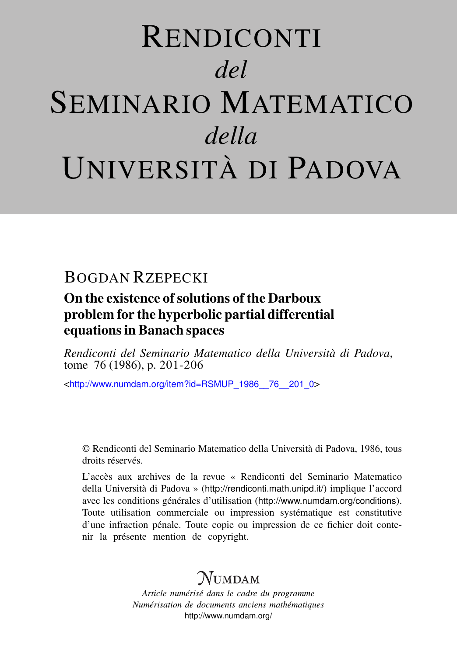# RENDICONTI *del* SEMINARIO MATEMATICO *della* UNIVERSITÀ DI PADOVA

# BOGDAN RZEPECKI

### On the existence of solutions of the Darboux problem for the hyperbolic partial differential equations in Banach spaces

*Rendiconti del Seminario Matematico della Università di Padova*, tome 76 (1986), p. 201-206

<[http://www.numdam.org/item?id=RSMUP\\_1986\\_\\_76\\_\\_201\\_0](http://www.numdam.org/item?id=RSMUP_1986__76__201_0)>

© Rendiconti del Seminario Matematico della Università di Padova, 1986, tous droits réservés.

L'accès aux archives de la revue « Rendiconti del Seminario Matematico della Università di Padova » (<http://rendiconti.math.unipd.it/>) implique l'accord avec les conditions générales d'utilisation (<http://www.numdam.org/conditions>). Toute utilisation commerciale ou impression systématique est constitutive d'une infraction pénale. Toute copie ou impression de ce fichier doit contenir la présente mention de copyright.

# $N$ umdam

*Article numérisé dans le cadre du programme Numérisation de documents anciens mathématiques* <http://www.numdam.org/>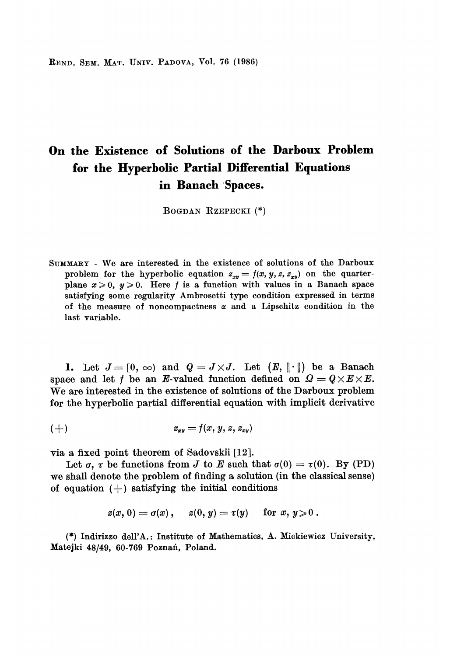REND. SEM. MAT. UNIV. PADOVA, Vol. 76 (1986)

## On the Existence of Solutions of the Darboux Problem for the Hyperbolic Partial Differential Equations in Banach Spaces.

BOGDAN RZEPECKI (\*)

SUMMARY - We are interested in the existence of solutions of the Darboux problem for the hyperbolic equation  $z_{xy} = f(x, y, z, z_{xy})$  on the quarterplane  $x \ge 0$ ,  $y \ge 0$ . Here f is a function with values in a Banach space satisfying some regularity Ambrosetti type condition expressed in terms of the measure of noncompactness  $\alpha$  and a Lipschitz condition in the last variable.

1. Let  $J = [0, \infty)$  and  $Q = J \times J$ . Let  $(E, \|\cdot\|)$  be a Banach space and let f be an E-valued function defined on  $\Omega = Q \times E \times E$ . We are interested in the existence of solutions of the Darboux problem for the hyperbolic partial differential equation with implicit derivative

$$
(+) \hspace{3.1em} z_{xy} = f(x, y, z, z_{xy})
$$

via a fixed point theorem of Sadovskii [12].

Let  $\sigma$ ,  $\tau$  be functions from J to E such that  $\sigma(0) = \tau(0)$ . By (PD) we shall denote the problem of finding a solution (in the classical sense) of equation  $(+)$  satisfying the initial conditions

$$
z(x, 0) = \sigma(x), \quad z(0, y) = \tau(y) \quad \text{ for } x, y \geq 0.
$$

(\*) Indirizzo dell'A. : Institute of Mathematics, A. Mickiewicz University, Matejki 48/49, 60-769 Poznań, Poland.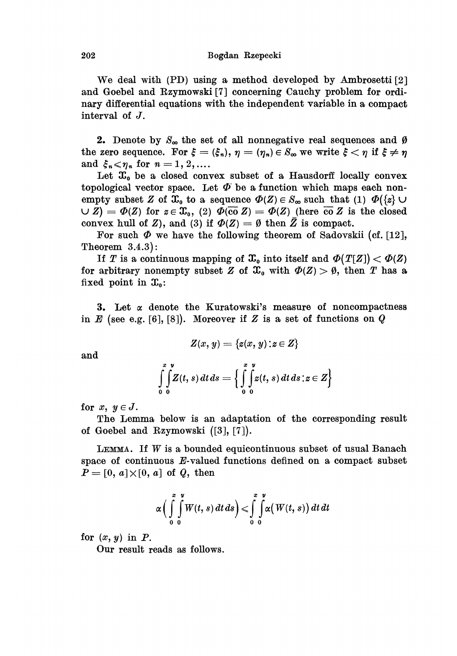We deal with (PD) using a method developed by Ambrosetti [2] and Goebel and Rzymowski [7] concerning Cauchy problem for ordinary differential equations with the independent variable in a compact interval of J.

**2.** Denote by  $S_{\infty}$  the set of all nonnegative real sequences and  $\emptyset$ the zero sequence. For  $\xi = (\xi_n)$ ,  $\eta = (\eta_n) \in S_\infty$  we write  $\xi < \eta$  if  $\xi \neq \eta$ <br>and  $\xi_n < \eta_n$  for  $n = 1, 2, ....$ 

Let  $x_0$  be a closed convex subset of a Hausdorff locally convex topological vector space. Let  $\Phi$  be a function which maps each nonempty subset Z of  $\mathfrak{X}_0$  to a sequence  $\Phi(Z) \in S_\infty$  such that (1)  $\Phi({z \in \mathcal{X}_1} \cup \mathcal{Y})$  $\bigcup Z$ ) =  $\Phi(Z)$  for  $z \in \mathfrak{X}_0$ , (2)  $\Phi(\overline{\text{co}} Z) = \Phi(Z)$  (here  $\overline{\text{co}} Z$  is the closed convex hull of Z), and (3) if  $\Phi(Z) = \emptyset$  then  $\overline{Z}$  is compact.

For such  $\Phi$  we have the following theorem of Sadovskii (cf. [12], Theorem 3.4.3):

If T is a continuous mapping of  $\mathfrak{X}_0$  into itself and  $\Phi(T[Z]) < \Phi(Z)$ for arbitrary nonempty subset Z of  $\mathfrak{X}_0$  with  $\Phi(Z) > \emptyset$ , then T has a fixed point in  $\mathfrak{X}_0$ :

3. Let  $\alpha$  denote the Kuratowski's measure of noncompactness in E (see e.g. [6], [8]). Moreover if Z is a set of functions on Q

$$
Z(x, y) = \{z(x, y) : z \in Z\}
$$

and

$$
\int_{0}^{x} \int_{0}^{y} Z(t, s) dt ds = \left\{ \int_{0}^{x} \int_{0}^{y} z(t, s) dt ds : z \in Z \right\}
$$

for  $x, y \in J$ .

The Lemma below is an adaptation of the corresponding result of Goebel and Rzymowski ([3], [7]).

LEMMA. If  $W$  is a bounded equicontinuous subset of usual Banach space of continuous E-valued functions defined on a compact subset  $P = [0, a] \times [0, a]$  of  $Q$ , then

$$
\alpha\Big(\int\limits_{0}^{x}\int\limits_{0}^{y}W(t,s)\,dt\,ds\Big)<\int\limits_{0}^{x}\int\limits_{0}^{y}\alpha\big(W(t,s)\big)\,dt\,dt
$$

for  $(x, y)$  in  $P$ .

Our result reads as follows.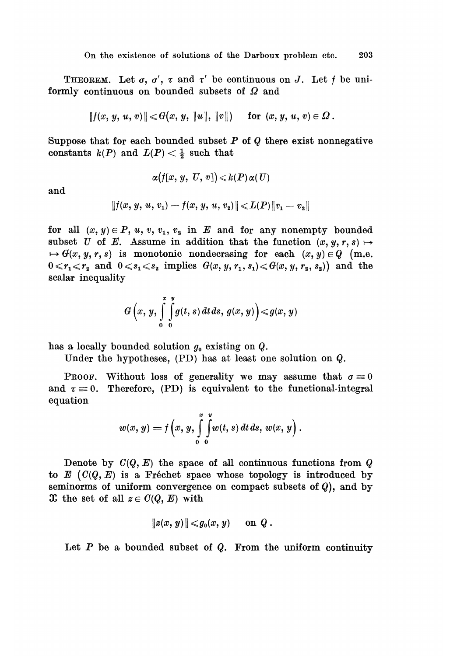THEOREM. Let  $\sigma$ ,  $\sigma'$ ,  $\tau$  and  $\tau'$  be continuous on J. Let f be uniformly continuous on bounded subsets of  $\Omega$  and

$$
|| f(x, y, u, v) || \le G(x, y, ||u||, ||v||) \quad \text{for } (x, y, u, v) \in \Omega.
$$

Suppose that for each bounded subset  $P$  of  $Q$  there exist nonnegative constants  $k(P)$  and  $L(P) < \frac{1}{2}$  such that

$$
\alpha\big(f[x,\,y,\,\,U,\,v\,]\big)\!\leqslant\! k(P)\,\alpha(\,U)
$$

and

$$
\|f(x, y, u, v_1) - f(x, y, u, v_2)\| \leqslant L(P) \|v_1 - v_2\|
$$

for all  $(x, y) \in P$ ,  $u, v, v_1, v_2$  in E and for any nonempty bounded subset U of E. Assume in addition that the function  $(x, y, r, s) \mapsto$  $\theta \mapsto G(x, y, r, s)$  is monotonic nondecrasing for each  $(x, y) \in Q$  (m.e.  $0 \leq r_1 \leq r_2$  and  $0 \leq s_1 \leq s_2$  implies  $G(x, y, r_1, s_1) \leq G(x, y, r_2, s_2)$  and the scalar inequality

$$
G\left(x, y, \int\limits_{0}^{x} \int\limits_{0}^{y} g(t, s) dt ds, g(x, y)\right) \leq g(x, y)
$$

has a locally bounded solution  $g_0$  existing on  $Q$ .

Under the hypotheses, (PD) has at least one solution on Q.

PROOF. Without loss of generality we may assume that  $\sigma = 0$ and  $\tau = 0$ . Therefore, (PD) is equivalent to the functional-integral equation

$$
w(x, y) = f\left(x, y, \int\limits_{0}^{x} \int\limits_{0}^{y} w(t, s) dt ds, w(x, y)\right).
$$

Denote by  $C(Q, E)$  the space of all continuous functions from  $Q$ to  $E(G(Q, E))$  is a Fréchet space whose topology is introduced by seminorms of uniform convergence on compact subsets of  $Q$ ), and by  $\mathfrak X$  the set of all  $z \in C(Q, E)$  with

$$
||z(x, y)|| \leqslant g_0(x, y) \quad \text{on } Q.
$$

Let  $P$  be a bounded subset of  $Q$ . From the uniform continuity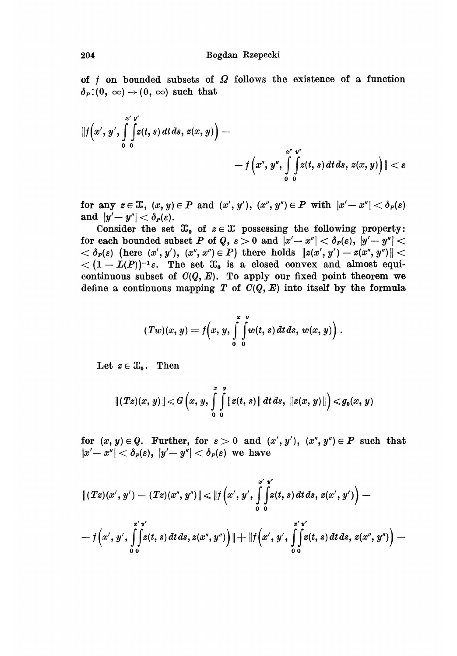of  $f$  on bounded subsets of  $\Omega$  follows the existence of a function  $\delta_P$  : (0,  $\infty$ )  $\rightarrow$  (0,  $\infty$ ) such that

$$
\|f(x',y',\int_{0}^{x'y'}\int_{0}^{x'y'}\left(z(t,s)\,dt\,ds,\,z(x,y)\right)-\\qquad \qquad -f\left(x'',y''',\int_{0}^{x''}\int_{0}^{y''}\left(z(t,s)\,dt\,ds,\,z(x,y)\right)\|<\varepsilon
$$

for any  $z \in \mathfrak{X}$ ,  $(x, y) \in P$  and  $(x', y')$ ,  $(x'', y'') \in P$  with  $|x' - x''| < \delta_P(\varepsilon)$ and  $|y'-y''| < \delta_P(\varepsilon)$ .

Consider the set  $\mathfrak{X}_0$  of  $z \in \mathfrak{X}$  possessing the following property: for each bounded subset P of Q,  $\varepsilon > 0$  and  $|x' - x''| < \delta_P(\varepsilon)$ ,  $|y' - y''| <$  $<\delta_P(\varepsilon)$  (here  $(x', y'), (x'', x'') \in P$ ) there holds  $||z(x', y') - z(x'', y'')|| <$  $<(1-L(P))^{-1}\varepsilon$ . The set  $\mathfrak{X}_0$  is a closed convex and almost equicontinuous subset of  $C(Q, E)$ . To apply our fixed point theorem we define a continuous mapping T of  $C(Q, E)$  into itself by the formula

$$
(Tw)(x, y) = f\left(x, y, \int\limits_{0}^{x} \int\limits_{0}^{y} w(t, s) dt ds, w(x, y)\right).
$$

Let  $z \in \mathfrak{X}_0$ . Then

$$
\|(Tz)(x, y)\| \leq G\left(x, y, \int\limits_{0}^{x} \int\limits_{0}^{y} \|z(t, s)\| \, dt \, ds, \, \|z(x, y)\| \right) \leq g_0(x, y)
$$

for  $(x, y) \in Q$ . Further, for  $\varepsilon > 0$  and  $(x', y')$ ,  $(x'', y'') \in P$  such that  $|x'-x''| < \delta_P(\varepsilon)$ ,  $|y'-y''| < \delta_P(\varepsilon)$  we have

204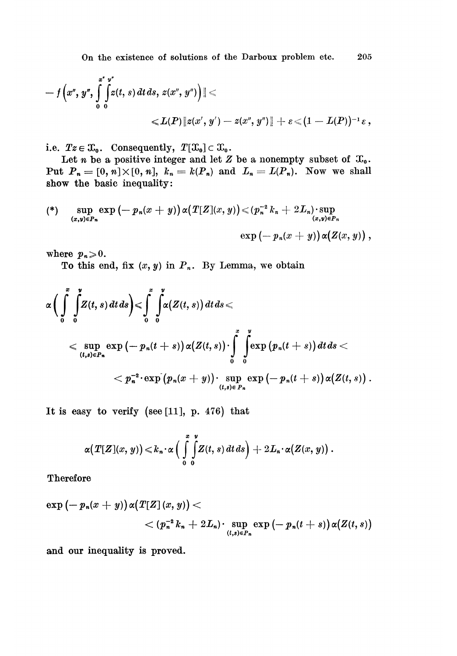On the existence of solutions of the Darboux problem etc. 205

$$
- f(x'', y'', \int_{0}^{x''} \int_{0}^{y''} z(t, s) dt ds, z(x'', y'') \Big) \| \leq
$$
  

$$
\leq L(P) \| z(x', y') - z(x'', y'') \| + \varepsilon \leq (1 - L(P))^{-1} \varepsilon,
$$

i.e.  $Tz \in \mathfrak{X}_0$ . Consequently,  $T[\mathfrak{X}_0] \subset \mathfrak{X}_0$ .

Let *n* be a positive integer and let  $Z$  be a nonempty subset of  $\mathfrak{X}_0$ . Put  $P_n = [0, n] \times [0, n]$ ,  $k_n = k(P_n)$  and  $L_n = L(P_n)$ . Now we shall show the basic inequality:

$$
\text{sup}_{(x,y)\in P_n} \exp\left(-p_n(x+y)\right) \alpha\left(T[Z](x,y)\right) \leqslant \left(p_n^{-2}k_n+2L_n\right) \cdot \sup_{(x,y)\in P_n} \exp\left(-p_n(x+y)\right) \alpha\left(Z(x,y)\right),
$$

where  $p_n \geqslant 0$ .

To this end, fix  $(x, y)$  in  $P_n$ . By Lemma, we obtain

$$
\alpha \Big(\int\limits_{0}^{x} \int\limits_{0}^{y} Z(t,s) dt ds \Big) < \int\limits_{0}^{x} \int\limits_{0}^{y} \alpha(Z(t,s)) dt ds < \sup\limits_{(t,s) \in P_n} \exp \left(-p_n(t+s)\right) \alpha(Z(t,s)) \cdot \int\limits_{0}^{x} \int\limits_{0}^{y} \exp \left(p_n(t+s)\right) dt ds < p_n^{-2} \cdot \exp \left(p_n(x+y)\right) \cdot \sup\limits_{(t,s) \in P_n} \exp \left(-p_n(t+s)\right) \alpha(Z(t,s)) .
$$

It is easy to verify (see  $[11]$ , p. 476) that

$$
\alpha(T[Z](x, y)) \leq k_n \cdot \alpha \Big( \int\limits_{0}^{x} \int\limits_{0}^{y} Z(t, s) dt ds \Big) + 2L_n \cdot \alpha(Z(x, y)).
$$

Therefore

$$
\exp\left(-p_n(x+y)\right)\alpha\left(T[Z](x,y)\right) < \\qquad \qquad < (p_n^{-2}k_n+2L_n)\cdot\sup_{(t,s)\in P_n}\exp\left(-p_n(t+s)\right)\alpha\left(Z(t,s)\right)
$$

and our inequality is proved.